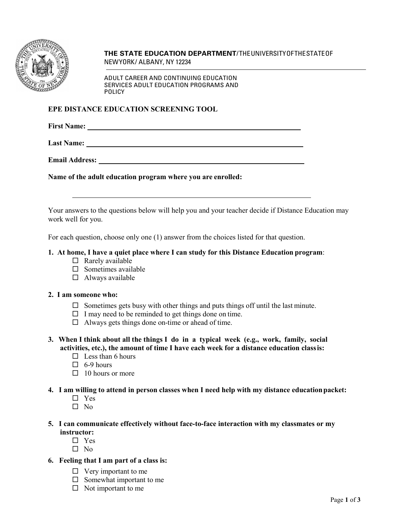

**THE STATE EDUCATION DEPARTMENT**/ THEUNIVERSITYOFTHESTATEOF NEWYORK/ ALBANY, NY 12234

ADULT CAREER AND CONTINUING EDUCATION SERVICES ADULT EDUCATION PROGRAMS AND POLICY

### **EPE DISTANCE EDUCATION SCREENING TOOL**

**First Name:** 

**Last Name:** 

**Email Address:** 

**Name of the adult education program where you are enrolled:**

Your answers to the questions below will help you and your teacher decide if Distance Education may work well for you.

For each question, choose only one (1) answer from the choices listed for that question.

#### **1. At home, I have a quiet place where I can study for this Distance Education program**:

- $\Box$  Rarely available
- $\Box$  Sometimes available
- $\Box$  Always available

## **2. I am someone who:**

- $\Box$  Sometimes gets busy with other things and puts things off until the last minute.
- $\Box$  I may need to be reminded to get things done on time.
- $\Box$  Always gets things done on-time or ahead of time.
- **3. When I think about all the things I do in a typical week (e.g., work, family, social activities, etc.), the amount of time I have each week for a distance education classis:**
	- $\Box$  Less than 6 hours
	- $\Box$  6-9 hours
	- $\Box$  10 hours or more
- **4. I am willing to attend in person classes when I need help with my distance education packet:**
	- $\Box$  Yes
	- $\Box$  No
- **5. I can communicate effectively without face-to-face interaction with my classmates or my instructor:**
	- Yes
	- $\Box$  No
- **6. Feeling that I am part of a class is:**
	- $\Box$  Very important to me
	- $\square$  Somewhat important to me
	- $\Box$  Not important to me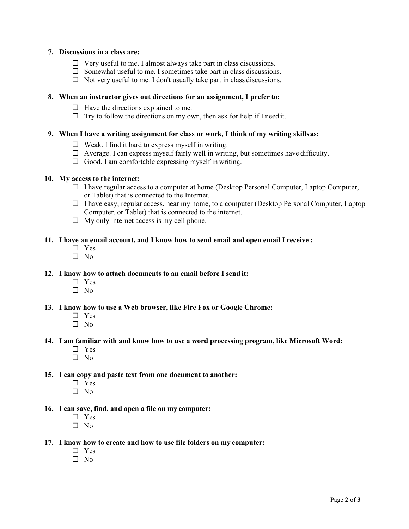## **7. Discussions in a class are:**

- $\Box$  Very useful to me. I almost always take part in class discussions.
- $\Box$  Somewhat useful to me. I sometimes take part in class discussions.
- $\Box$  Not very useful to me. I don't usually take part in class discussions.

### **8. When an instructor gives out directions for an assignment, I prefer to:**

- $\Box$  Have the directions explained to me.
- $\Box$  Try to follow the directions on my own, then ask for help if I need it.

# **9. When I have a writing assignment for class or work, I think of my writing skillsas:**

- $\Box$  Weak. I find it hard to express myself in writing.
- $\Box$  Average. I can express myself fairly well in writing, but sometimes have difficulty.
- $\Box$  Good. I am comfortable expressing myself in writing.

#### **10. My access to the internet:**

- $\Box$  I have regular access to a computer at home (Desktop Personal Computer, Laptop Computer, or Tablet) that is connected to the Internet.
- $\Box$  I have easy, regular access, near my home, to a computer (Desktop Personal Computer, Laptop Computer, or Tablet) that is connected to the internet.
- $\Box$  My only internet access is my cell phone.

## **11. I have an email account, and I know how to send email and open email I receive :**

- □ Yes
- $\n **N**$

# **12. I know how to attach documents to an email before I send it:**

- □ Yes
- $\square$  No

#### **13. I know how to use a Web browser, like Fire Fox or Google Chrome:**

- □ Yes
- $\Box$  No

# **14. I am familiar with and know how to use a word processing program, like Microsoft Word:**

- □ Yes
- $\Box$  No

# **15. I can copy and paste text from one document to another:**

- □ Yes
- $\square$  No

## **16. I can save, find, and open a file on my computer:**

- □ Yes
- $\square$  No

#### **17. I know how to create and how to use file folders on my computer:**

- □ Yes
- $\Box$  No